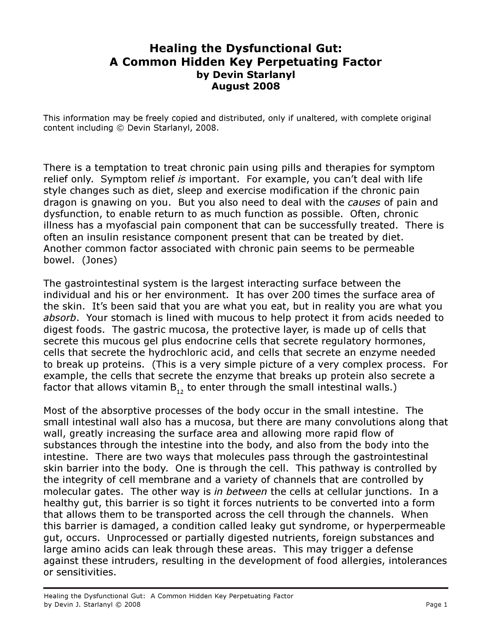## Healing the Dysfunctional Gut: A Common Hidden Key Perpetuating Factor by Devin Starlanyl August 2008

This information may be freely copied and distributed, only if unaltered, with complete original content including © Devin Starlanyl, 2008.

There is a temptation to treat chronic pain using pills and therapies for symptom relief only. Symptom relief is important. For example, you can't deal with life style changes such as diet, sleep and exercise modification if the chronic pain dragon is gnawing on you. But you also need to deal with the *causes* of pain and dysfunction, to enable return to as much function as possible. Often, chronic illness has a myofascial pain component that can be successfully treated. There is often an insulin resistance component present that can be treated by diet. Another common factor associated with chronic pain seems to be permeable bowel. (Jones)

The gastrointestinal system is the largest interacting surface between the individual and his or her environment. It has over 200 times the surface area of the skin. It's been said that you are what you eat, but in reality you are what you absorb. Your stomach is lined with mucous to help protect it from acids needed to digest foods. The gastric mucosa, the protective layer, is made up of cells that secrete this mucous gel plus endocrine cells that secrete regulatory hormones, cells that secrete the hydrochloric acid, and cells that secrete an enzyme needed to break up proteins. (This is a very simple picture of a very complex process. For example, the cells that secrete the enzyme that breaks up protein also secrete a factor that allows vitamin  $B_{12}$  to enter through the small intestinal walls.)

Most of the absorptive processes of the body occur in the small intestine. The small intestinal wall also has a mucosa, but there are many convolutions along that wall, greatly increasing the surface area and allowing more rapid flow of substances through the intestine into the body, and also from the body into the intestine. There are two ways that molecules pass through the gastrointestinal skin barrier into the body. One is through the cell. This pathway is controlled by the integrity of cell membrane and a variety of channels that are controlled by molecular gates. The other way is in between the cells at cellular junctions. In a healthy gut, this barrier is so tight it forces nutrients to be converted into a form that allows them to be transported across the cell through the channels. When this barrier is damaged, a condition called leaky gut syndrome, or hyperpermeable gut, occurs. Unprocessed or partially digested nutrients, foreign substances and large amino acids can leak through these areas. This may trigger a defense against these intruders, resulting in the development of food allergies, intolerances or sensitivities.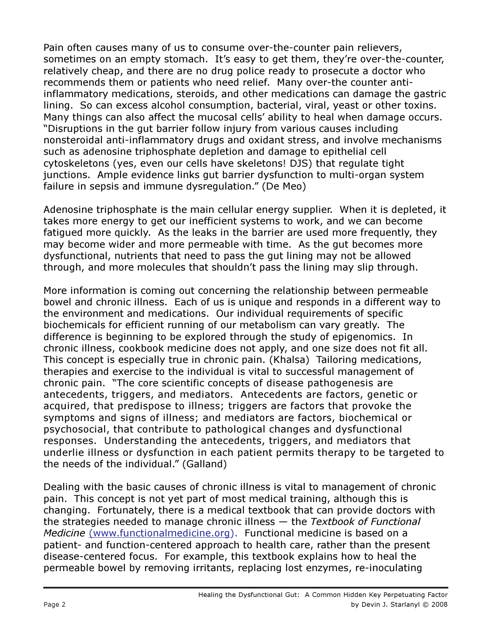Pain often causes many of us to consume over-the-counter pain relievers, sometimes on an empty stomach. It's easy to get them, they're over-the-counter, relatively cheap, and there are no drug police ready to prosecute a doctor who recommends them or patients who need relief. Many over-the counter antiinflammatory medications, steroids, and other medications can damage the gastric lining. So can excess alcohol consumption, bacterial, viral, yeast or other toxins. Many things can also affect the mucosal cells' ability to heal when damage occurs. "Disruptions in the gut barrier follow injury from various causes including nonsteroidal anti-inflammatory drugs and oxidant stress, and involve mechanisms such as adenosine triphosphate depletion and damage to epithelial cell cytoskeletons (yes, even our cells have skeletons! DJS) that regulate tight junctions. Ample evidence links gut barrier dysfunction to multi-organ system failure in sepsis and immune dysregulation." (De Meo)

Adenosine triphosphate is the main cellular energy supplier. When it is depleted, it takes more energy to get our inefficient systems to work, and we can become fatigued more quickly. As the leaks in the barrier are used more frequently, they may become wider and more permeable with time. As the gut becomes more dysfunctional, nutrients that need to pass the gut lining may not be allowed through, and more molecules that shouldn't pass the lining may slip through.

More information is coming out concerning the relationship between permeable bowel and chronic illness. Each of us is unique and responds in a different way to the environment and medications. Our individual requirements of specific biochemicals for efficient running of our metabolism can vary greatly. The difference is beginning to be explored through the study of epigenomics. In chronic illness, cookbook medicine does not apply, and one size does not fit all. This concept is especially true in chronic pain. (Khalsa) Tailoring medications, therapies and exercise to the individual is vital to successful management of chronic pain. "The core scientific concepts of disease pathogenesis are antecedents, triggers, and mediators. Antecedents are factors, genetic or acquired, that predispose to illness; triggers are factors that provoke the symptoms and signs of illness; and mediators are factors, biochemical or psychosocial, that contribute to pathological changes and dysfunctional responses. Understanding the antecedents, triggers, and mediators that underlie illness or dysfunction in each patient permits therapy to be targeted to the needs of the individual." (Galland)

Dealing with the basic causes of chronic illness is vital to management of chronic pain. This concept is not yet part of most medical training, although this is changing. Fortunately, there is a medical textbook that can provide doctors with the strategies needed to manage chronic illness  $-$  the Textbook of Functional Medicine (www.functionalmedicine.org). Functional medicine is based on a patient- and function-centered approach to health care, rather than the present disease-centered focus. For example, this textbook explains how to heal the permeable bowel by removing irritants, replacing lost enzymes, re-inoculating